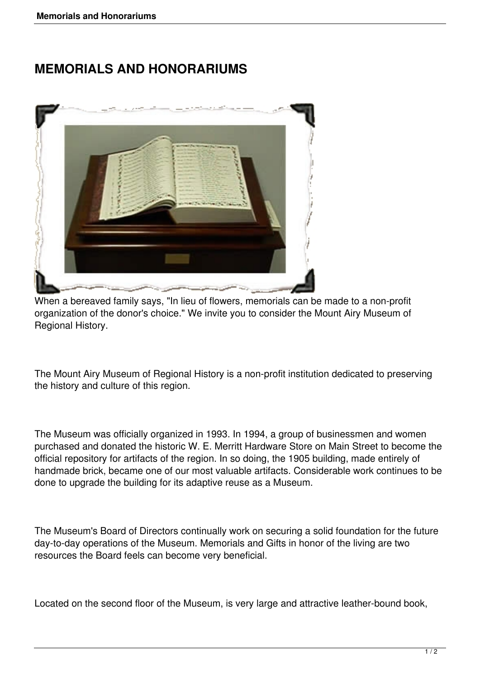## **MEMORIALS AND HONORARIUMS**



When a bereaved family says, "In lieu of flowers, memorials can be made to a non-profit organization of the donor's choice." We invite you to consider the Mount Airy Museum of Regional History.

The Mount Airy Museum of Regional History is a non-profit institution dedicated to preserving the history and culture of this region.

The Museum was officially organized in 1993. In 1994, a group of businessmen and women purchased and donated the historic W. E. Merritt Hardware Store on Main Street to become the official repository for artifacts of the region. In so doing, the 1905 building, made entirely of handmade brick, became one of our most valuable artifacts. Considerable work continues to be done to upgrade the building for its adaptive reuse as a Museum.

The Museum's Board of Directors continually work on securing a solid foundation for the future day-to-day operations of the Museum. Memorials and Gifts in honor of the living are two resources the Board feels can become very beneficial.

Located on the second floor of the Museum, is very large and attractive leather-bound book,